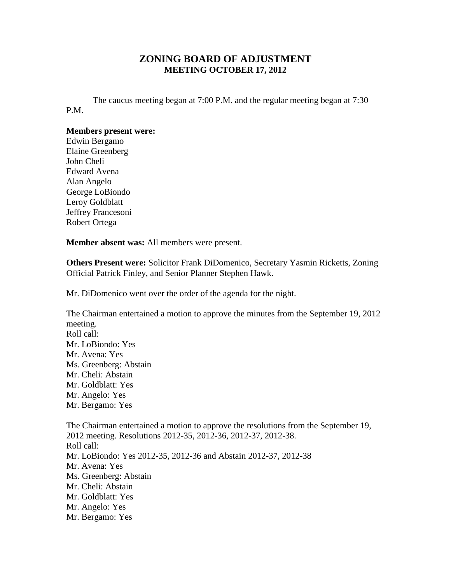## **ZONING BOARD OF ADJUSTMENT MEETING OCTOBER 17, 2012**

The caucus meeting began at 7:00 P.M. and the regular meeting began at 7:30 P.M.

## **Members present were:**

Edwin Bergamo Elaine Greenberg John Cheli Edward Avena Alan Angelo George LoBiondo Leroy Goldblatt Jeffrey Francesoni Robert Ortega

**Member absent was:** All members were present.

**Others Present were:** Solicitor Frank DiDomenico, Secretary Yasmin Ricketts, Zoning Official Patrick Finley, and Senior Planner Stephen Hawk.

Mr. DiDomenico went over the order of the agenda for the night.

The Chairman entertained a motion to approve the minutes from the September 19, 2012 meeting. Roll call: Mr. LoBiondo: Yes Mr. Avena: Yes Ms. Greenberg: Abstain Mr. Cheli: Abstain Mr. Goldblatt: Yes Mr. Angelo: Yes Mr. Bergamo: Yes The Chairman entertained a motion to approve the resolutions from the September 19, 2012 meeting. Resolutions 2012-35, 2012-36, 2012-37, 2012-38. Roll call: Mr. LoBiondo: Yes 2012-35, 2012-36 and Abstain 2012-37, 2012-38 Mr. Avena: Yes Ms. Greenberg: Abstain Mr. Cheli: Abstain Mr. Goldblatt: Yes Mr. Angelo: Yes Mr. Bergamo: Yes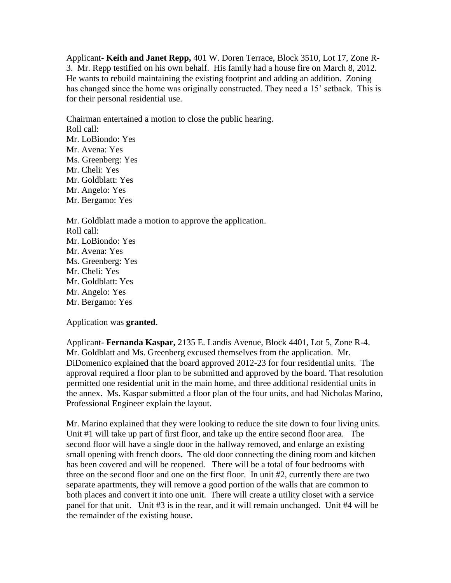Applicant- **Keith and Janet Repp,** 401 W. Doren Terrace, Block 3510, Lot 17, Zone R-3. Mr. Repp testified on his own behalf. His family had a house fire on March 8, 2012. He wants to rebuild maintaining the existing footprint and adding an addition. Zoning has changed since the home was originally constructed. They need a 15' setback. This is for their personal residential use.

Chairman entertained a motion to close the public hearing. Roll call: Mr. LoBiondo: Yes Mr. Avena: Yes Ms. Greenberg: Yes Mr. Cheli: Yes Mr. Goldblatt: Yes Mr. Angelo: Yes Mr. Bergamo: Yes

Mr. Goldblatt made a motion to approve the application. Roll call: Mr. LoBiondo: Yes Mr. Avena: Yes Ms. Greenberg: Yes Mr. Cheli: Yes Mr. Goldblatt: Yes Mr. Angelo: Yes Mr. Bergamo: Yes

Application was **granted**.

Applicant- **Fernanda Kaspar,** 2135 E. Landis Avenue, Block 4401, Lot 5, Zone R-4. Mr. Goldblatt and Ms. Greenberg excused themselves from the application. Mr. DiDomenico explained that the board approved 2012-23 for four residential units. The approval required a floor plan to be submitted and approved by the board. That resolution permitted one residential unit in the main home, and three additional residential units in the annex. Ms. Kaspar submitted a floor plan of the four units, and had Nicholas Marino, Professional Engineer explain the layout.

Mr. Marino explained that they were looking to reduce the site down to four living units. Unit #1 will take up part of first floor, and take up the entire second floor area. The second floor will have a single door in the hallway removed, and enlarge an existing small opening with french doors. The old door connecting the dining room and kitchen has been covered and will be reopened. There will be a total of four bedrooms with three on the second floor and one on the first floor. In unit #2, currently there are two separate apartments, they will remove a good portion of the walls that are common to both places and convert it into one unit. There will create a utility closet with a service panel for that unit. Unit #3 is in the rear, and it will remain unchanged. Unit #4 will be the remainder of the existing house.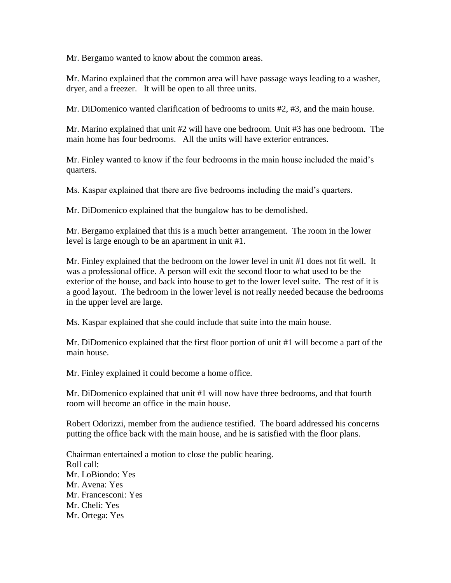Mr. Bergamo wanted to know about the common areas.

Mr. Marino explained that the common area will have passage ways leading to a washer, dryer, and a freezer. It will be open to all three units.

Mr. DiDomenico wanted clarification of bedrooms to units #2, #3, and the main house.

Mr. Marino explained that unit #2 will have one bedroom. Unit #3 has one bedroom. The main home has four bedrooms. All the units will have exterior entrances.

Mr. Finley wanted to know if the four bedrooms in the main house included the maid's quarters.

Ms. Kaspar explained that there are five bedrooms including the maid's quarters.

Mr. DiDomenico explained that the bungalow has to be demolished.

Mr. Bergamo explained that this is a much better arrangement. The room in the lower level is large enough to be an apartment in unit #1.

Mr. Finley explained that the bedroom on the lower level in unit #1 does not fit well. It was a professional office. A person will exit the second floor to what used to be the exterior of the house, and back into house to get to the lower level suite. The rest of it is a good layout. The bedroom in the lower level is not really needed because the bedrooms in the upper level are large.

Ms. Kaspar explained that she could include that suite into the main house.

Mr. DiDomenico explained that the first floor portion of unit #1 will become a part of the main house.

Mr. Finley explained it could become a home office.

Mr. DiDomenico explained that unit #1 will now have three bedrooms, and that fourth room will become an office in the main house.

Robert Odorizzi, member from the audience testified. The board addressed his concerns putting the office back with the main house, and he is satisfied with the floor plans.

Chairman entertained a motion to close the public hearing. Roll call: Mr. LoBiondo: Yes Mr. Avena: Yes Mr. Francesconi: Yes Mr. Cheli: Yes Mr. Ortega: Yes